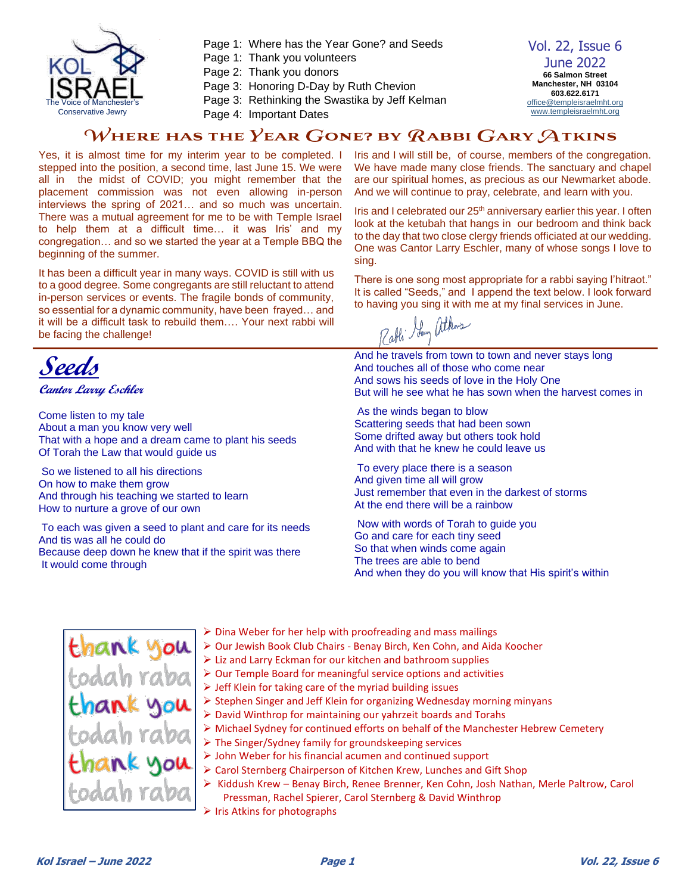

- Page 1: Where has the Year Gone? and Seeds
- Page 1: Thank you volunteers
- Page 2: Thank you donors
- Page 3: Honoring D-Day by Ruth Chevion
- Page 3: Rethinking the Swastika by Jeff Kelman
- Page 4: Important Dates

Vol. 22, Issue 6 June 2022 **66 Salmon Street Manchester, NH 03104 603.622.6171** [office@templeisraelmht.org](mailto:office@templeisraelmht.org) [www.templeisraelmht.org](http://www.templeisraelmht.org/)

#### WHERE HAS THE YEAR GONE? BY RABBI GARY ATKINS

Yes, it is almost time for my interim year to be completed. I stepped into the position, a second time, last June 15. We were all in the midst of COVID; you might remember that the placement commission was not even allowing in-person interviews the spring of 2021… and so much was uncertain. There was a mutual agreement for me to be with Temple Israel to help them at a difficult time… it was Iris' and my congregation… and so we started the year at a Temple BBQ the beginning of the summer.

It has been a difficult year in many ways. COVID is still with us to a good degree. Some congregants are still reluctant to attend in-person services or events. The fragile bonds of community, so essential for a dynamic community, have been frayed… and it will be a difficult task to rebuild them…. Your next rabbi will be facing the challenge!

**Seeds**

**Cantor Larry Eschler**

Come listen to my tale About a man you know very well That with a hope and a dream came to plant his seeds Of Torah the Law that would guide us

So we listened to all his directions On how to make them grow And through his teaching we started to learn How to nurture a grove of our own

To each was given a seed to plant and care for its needs And tis was all he could do Because deep down he knew that if the spirit was there It would come through

Iris and I will still be, of course, members of the congregation. We have made many close friends. The sanctuary and chapel are our spiritual homes, as precious as our Newmarket abode. And we will continue to pray, celebrate, and learn with you.

Iris and I celebrated our 25<sup>th</sup> anniversary earlier this year. I often look at the ketubah that hangs in our bedroom and think back to the day that two close clergy friends officiated at our wedding. One was Cantor Larry Eschler, many of whose songs I love to sing.

There is one song most appropriate for a rabbi saying l'hitraot." It is called "Seeds," and I append the text below. I look forward to having you sing it with me at my final services in June.

Lou atkns

And he travels from town to town and never stays long And touches all of those who come near And sows his seeds of love in the Holy One But will he see what he has sown when the harvest comes in

As the winds began to blow Scattering seeds that had been sown Some drifted away but others took hold And with that he knew he could leave us

To every place there is a season And given time all will grow Just remember that even in the darkest of storms At the end there will be a rainbow

Now with words of Torah to guide you Go and care for each tiny seed So that when winds come again The trees are able to bend And when they do you will know that His spirit's within

- thank u
- ➢ Dina Weber for her help with proofreading and mass mailings
	- ➢ Our Jewish Book Club Chairs Benay Birch, Ken Cohn, and Aida Koocher
	- ➢ Liz and Larry Eckman for our kitchen and bathroom supplies
	- ➢ Our Temple Board for meaningful service options and activities
	- ➢ Jeff Klein for taking care of the myriad building issues
	- ➢ Stephen Singer and Jeff Klein for organizing Wednesday morning minyans
	- ➢ David Winthrop for maintaining our yahrzeit boards and Torahs
	- ➢ Michael Sydney for continued efforts on behalf of the Manchester Hebrew Cemetery
	- ➢ The Singer/Sydney family for groundskeeping services
	- ➢ John Weber for his financial acumen and continued support
	- ➢ Carol Sternberg Chairperson of Kitchen Krew, Lunches and Gift Shop
	- ➢ Kiddush Krew Benay Birch, Renee Brenner, Ken Cohn, Josh Nathan, Merle Paltrow, Carol Pressman, Rachel Spierer, Carol Sternberg & David Winthrop
	- ➢ Iris Atkins for photographs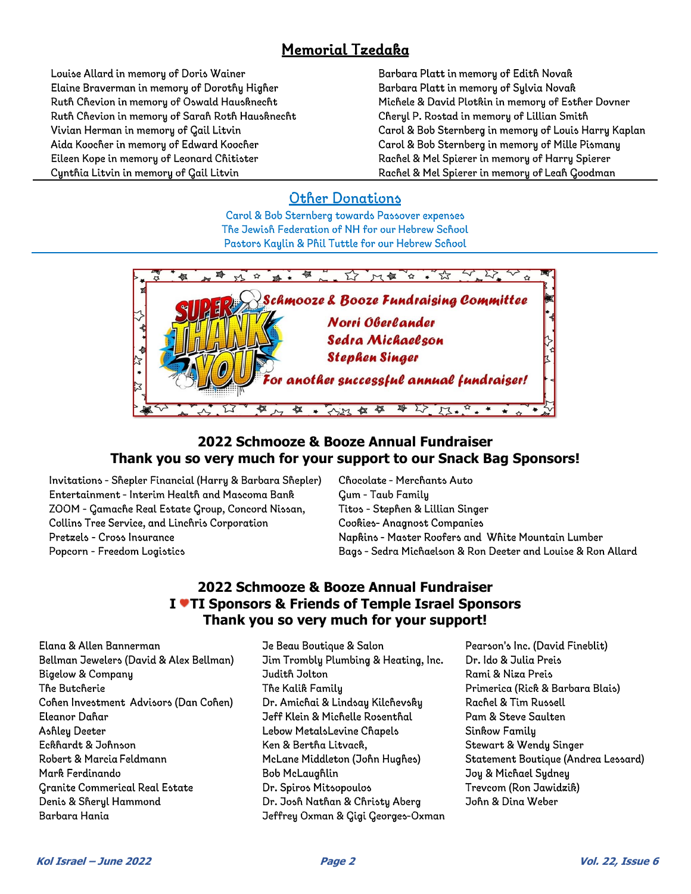### Memorial Tzedaka

Louise Allard in memory of Doris Wainer Elaine Braverman in memory of Dorothy Higher Ruth Chevion in memory of Oswald Hausknecht Ruth Chevion in memory of Sarah Roth Hausknecht Vivian Herman in memory of Gail Litvin Aida Koocher in memory of Edward Koocher Eileen Kope in memory of Leonard Chitister Cynthia Litvin in memory of Gail Litvin

Barbara Platt in memory of Edith Novak Barbara Platt in memory of Sylvia Novak Michele & David Plotkin in memory of Esther Dovner Cheryl P. Rostad in memory of Lillian Smith Carol & Bob Sternberg in memory of Louis Harry Kaplan Carol & Bob Sternberg in memory of Mille Pismany Rachel & Mel Spierer in memory of Harry Spierer Rachel & Mel Spierer in memory of Leah Goodman

#### **Other Donations**

Carol & Bob Sternberg towards Passover expenses The Jewish Federation of NH for our Hebrew School Pastors Kaylin & Phil Tuttle for our Hebrew School



#### **2022 Schmooze & Booze Annual Fundraiser Thank you so very much for your support to our Snack Bag Sponsors!**

Invitations - Shepler Financial (Harry & Barbara Shepler) Entertainment - Interim Health and Mascoma Bank ZOOM - Gamache Real Estate Group, Concord Nissan, Collins Tree Service, and Linchris Corporation Pretzels - Cross Insurance Popcorn - Freedom Logistics

Chocolate - Merchants Auto Gum - Taub Family Titos - Stephen & Lillian Singer Cookies-Anagnost Companies Napkins - Master Roofers and White Mountain Lumber Bags - Sedra Michaelson & Ron Deeter and Louise & Ron Allard

#### **2022 Schmooze & Booze Annual Fundraiser I TI Sponsors & Friends of Temple Israel Sponsors Thank you so very much for your support!**

Elana & Allen Bannerman Bellman Jewelers (David & Alex Bellman) **Bigelow & Company** The Butcherie Cohen Investment Advisors (Dan Cohen) Eleanor Dahar Ashley Deeter Eckhardt & Johnson Robert & Marcia Feldmann Mark Ferdinando **Granite Commerical Real Estate** Denis & Sheryl Hammond Barbara Hania

- Je Beau Boutique & Salon Jim Trombly Plumbing & Heating, Inc. Judith Jolton The Kalik Family Dr. Amichai & Lindsay Kilchevsky Jeff Klein & Michelle Rosenthal Lebow MetalsLevine Chapels Ken & Bertha Litvack, McLane Middleton (John Hughes) **Bob McLaughlin** Dr. Spiros Mitsopoulos Dr. Josh Nathan & Christy Aberg Jeffrey Oxman & Gigi Georges-Oxman
- Pearson's Inc. (David Fineblit) Dr. Ido & Julia Preis Rami & Niza Preis Primerica (Rick & Barbara Blais) Rachel & Tim Russell Pam & Steve Saulten Sinkow Family Stewart & Wendy Singer Statement Boutique (Andrea Lessard) Joy & Michael Sydney Trevcom (Ron Jawidzik) John & Dina Weber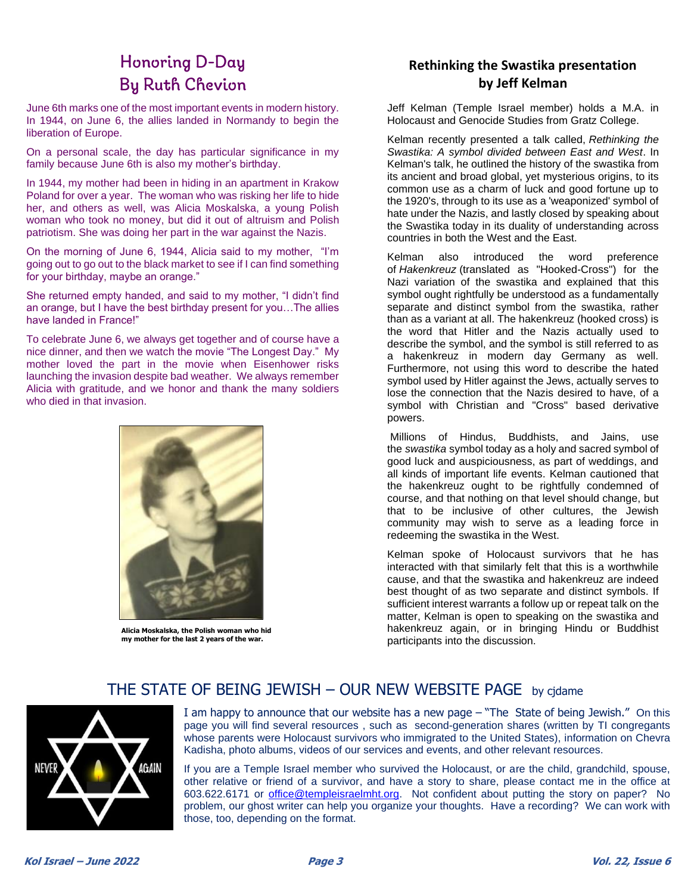# Honoring D-Day **By Ruth Chevion**

June 6th marks one of the most important events in modern history. In 1944, on June 6, the allies landed in Normandy to begin the liberation of Europe.

On a personal scale, the day has particular significance in my family because June 6th is also my mother's birthday.

In 1944, my mother had been in hiding in an apartment in Krakow Poland for over a year. The woman who was risking her life to hide her, and others as well, was Alicia Moskalska, a young Polish woman who took no money, but did it out of altruism and Polish patriotism. She was doing her part in the war against the Nazis.

On the morning of June 6, 1944, Alicia said to my mother, "I'm going out to go out to the black market to see if I can find something for your birthday, maybe an orange."

She returned empty handed, and said to my mother, "I didn't find an orange, but I have the best birthday present for you…The allies have landed in France!"

To celebrate June 6, we always get together and of course have a nice dinner, and then we watch the movie "The Longest Day." My mother loved the part in the movie when Eisenhower risks launching the invasion despite bad weather. We always remember Alicia with gratitude, and we honor and thank the many soldiers who died in that invasion.



**Alicia Moskalska, the Polish woman who hid my mother for the last 2 years of the war.** 

#### **Rethinking the Swastika presentation by Jeff Kelman**

Jeff Kelman (Temple Israel member) holds a M.A. in Holocaust and Genocide Studies from Gratz College.

Kelman recently presented a talk called, *Rethinking the Swastika: A symbol divided between East and West*. In Kelman's talk, he outlined the history of the swastika from its ancient and broad global, yet mysterious origins, to its common use as a charm of luck and good fortune up to the 1920's, through to its use as a 'weaponized' symbol of hate under the Nazis, and lastly closed by speaking about the Swastika today in its duality of understanding across countries in both the West and the East.

Kelman also introduced the word preference of *Hakenkreuz* (translated as "Hooked-Cross") for the Nazi variation of the swastika and explained that this symbol ought rightfully be understood as a fundamentally separate and distinct symbol from the swastika, rather than as a variant at all. The hakenkreuz (hooked cross) is the word that Hitler and the Nazis actually used to describe the symbol, and the symbol is still referred to as a hakenkreuz in modern day Germany as well. Furthermore, not using this word to describe the hated symbol used by Hitler against the Jews, actually serves to lose the connection that the Nazis desired to have, of a symbol with Christian and "Cross" based derivative powers.

Millions of Hindus, Buddhists, and Jains, use the *swastika* symbol today as a holy and sacred symbol of good luck and auspiciousness, as part of weddings, and all kinds of important life events. Kelman cautioned that the hakenkreuz ought to be rightfully condemned of course, and that nothing on that level should change, but that to be inclusive of other cultures, the Jewish community may wish to serve as a leading force in redeeming the swastika in the West.

Kelman spoke of Holocaust survivors that he has interacted with that similarly felt that this is a worthwhile cause, and that the swastika and hakenkreuz are indeed best thought of as two separate and distinct symbols. If sufficient interest warrants a follow up or repeat talk on the matter, Kelman is open to speaking on the swastika and hakenkreuz again, or in bringing Hindu or Buddhist participants into the discussion.

#### THE STATE OF BEING JEWISH – OUR NEW WEBSITE PAGE by cjdame



I am happy to announce that our website has a new page – "The State of being Jewish." On this page you will find several resources , such as second-generation shares (written by TI congregants whose parents were Holocaust survivors who immigrated to the United States), information on Chevra Kadisha, photo albums, videos of our services and events, and other relevant resources.

If you are a Temple Israel member who survived the Holocaust, or are the child, grandchild, spouse, other relative or friend of a survivor, and have a story to share, please contact me in the office at 603.622.6171 or *office@templeisraelmht.org*. Not confident about putting the story on paper? No problem, our ghost writer can help you organize your thoughts. Have a recording? We can work with those, too, depending on the format.